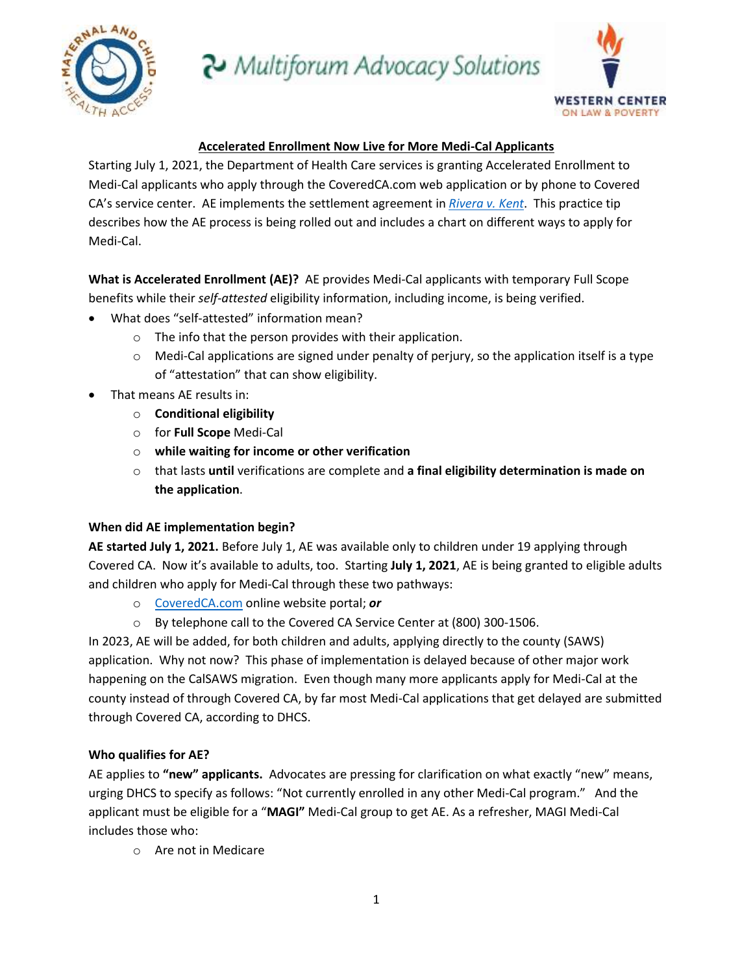



# **Accelerated Enrollment Now Live for More Medi-Cal Applicants**

Starting July 1, 2021, the Department of Health Care services is granting Accelerated Enrollment to Medi-Cal applicants who apply through the CoveredCA.com web application or by phone to Covered CA's service center. AE implements the settlement agreement in *[Rivera v. Kent](https://wclp.org/press-release-settlement-requires-ca-to-provide-access-to-care-for-medi-cal-applicants-during-lengthy-eligibility-verification-process/)*. This practice tip describes how the AE process is being rolled out and includes a chart on different ways to apply for Medi-Cal.

**What is Accelerated Enrollment (AE)?** AE provides Medi-Cal applicants with temporary Full Scope benefits while their *self-attested* eligibility information, including income, is being verified.

- What does "self-attested" information mean?
	- o The info that the person provides with their application.
	- $\circ$  Medi-Cal applications are signed under penalty of perjury, so the application itself is a type of "attestation" that can show eligibility.
- That means AE results in:
	- o **Conditional eligibility**
	- o for **Full Scope** Medi-Cal
	- o **while waiting for income or other verification**
	- o that lasts **until** verifications are complete and **a final eligibility determination is made on the application**.

# **When did AE implementation begin?**

**AE started July 1, 2021.** Before July 1, AE was available only to children under 19 applying through Covered CA. Now it's available to adults, too. Starting **July 1, 2021**, AE is being granted to eligible adults and children who apply for Medi-Cal through these two pathways:

- o [CoveredCA.com](https://www.coveredca.com/) online website portal; *or*
- o By telephone call to the Covered CA Service Center at (800) 300-1506.

In 2023, AE will be added, for both children and adults, applying directly to the county (SAWS) application. Why not now? This phase of implementation is delayed because of other major work happening on the CalSAWS migration. Even though many more applicants apply for Medi-Cal at the county instead of through Covered CA, by far most Medi-Cal applications that get delayed are submitted through Covered CA, according to DHCS.

# **Who qualifies for AE?**

AE applies to **"new" applicants.** Advocates are pressing for clarification on what exactly "new" means, urging DHCS to specify as follows: "Not currently enrolled in any other Medi-Cal program." And the applicant must be eligible for a "**MAGI"** Medi-Cal group to get AE. As a refresher, MAGI Medi-Cal includes those who:

o Are not in Medicare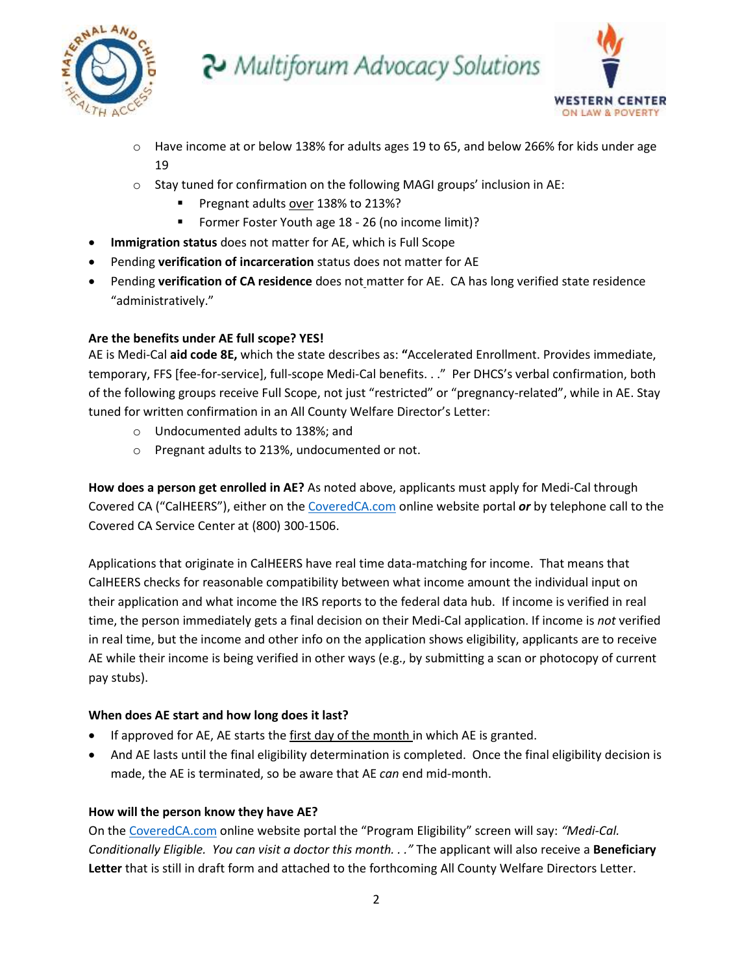



- o Have income at or below 138% for adults ages 19 to 65, and below 266% for kids under age 19
- $\circ$  Stay tuned for confirmation on the following MAGI groups' inclusion in AE:
	- Pregnant adults over 138% to 213%?
	- **F** Former Foster Youth age 18 26 (no income limit)?
- **Immigration status** does not matter for AE, which is Full Scope
- Pending **verification of incarceration** status does not matter for AE
- Pending **verification of CA residence** does not matter for AE. CA has long verified state residence "administratively."

# **Are the benefits under AE full scope? YES!**

AE is Medi-Cal **aid code 8E,** which the state describes as: **"**Accelerated Enrollment. Provides immediate, temporary, FFS [fee-for-service], full-scope Medi-Cal benefits. . ." Per DHCS's verbal confirmation, both of the following groups receive Full Scope, not just "restricted" or "pregnancy-related", while in AE. Stay tuned for written confirmation in an All County Welfare Director's Letter:

- o Undocumented adults to 138%; and
- o Pregnant adults to 213%, undocumented or not.

**How does a person get enrolled in AE?** As noted above, applicants must apply for Medi-Cal through Covered CA ("CalHEERS"), either on th[e CoveredCA.com](https://www.coveredca.com/) online website portal *or* by telephone call to the Covered CA Service Center at (800) 300-1506.

Applications that originate in CalHEERS have real time data-matching for income. That means that CalHEERS checks for reasonable compatibility between what income amount the individual input on their application and what income the IRS reports to the federal data hub. If income is verified in real time, the person immediately gets a final decision on their Medi-Cal application. If income is *not* verified in real time, but the income and other info on the application shows eligibility, applicants are to receive AE while their income is being verified in other ways (e.g., by submitting a scan or photocopy of current pay stubs).

# **When does AE start and how long does it last?**

- If approved for AE, AE starts the first day of the month in which AE is granted.
- And AE lasts until the final eligibility determination is completed. Once the final eligibility decision is made, the AE is terminated, so be aware that AE *can* end mid-month.

# **How will the person know they have AE?**

On the [CoveredCA.com](https://www.coveredca.com/) online website portal the "Program Eligibility" screen will say: *"Medi-Cal. Conditionally Eligible. You can visit a doctor this month. . ."* The applicant will also receive a **Beneficiary Letter** that is still in draft form and attached to the forthcoming All County Welfare Directors Letter.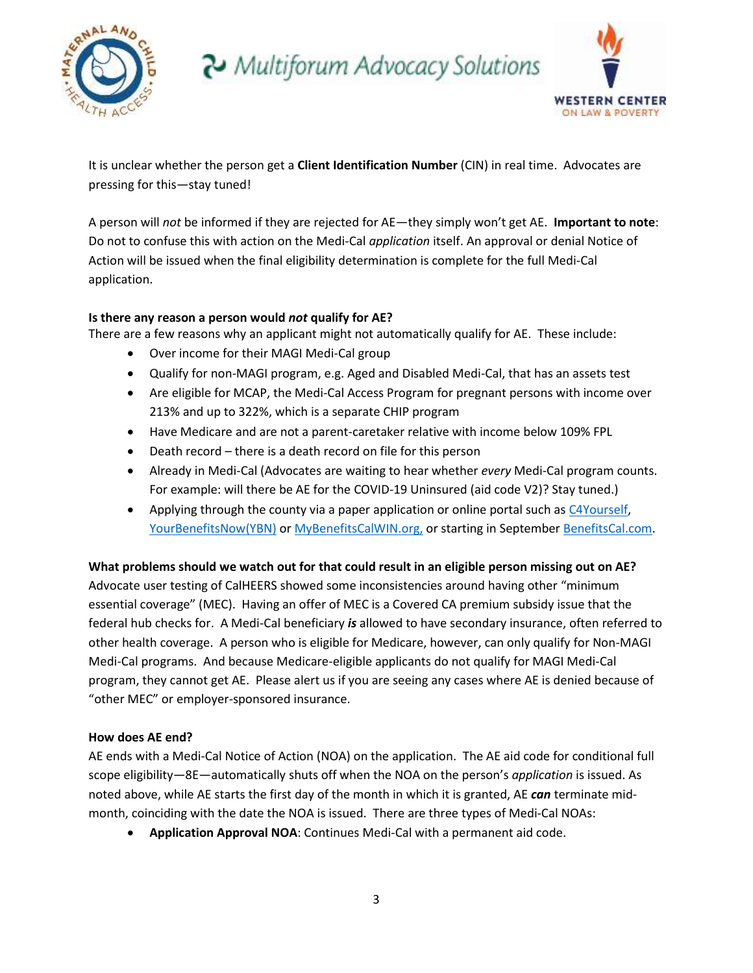

2 Multiforum Advocacy Solutions



It is unclear whether the person get a **Client Identification Number** (CIN) in real time. Advocates are pressing for this—stay tuned!

A person will *not* be informed if they are rejected for AE—they simply won't get AE. **Important to note**: Do not to confuse this with action on the Medi-Cal *application* itself. An approval or denial Notice of Action will be issued when the final eligibility determination is complete for the full Medi-Cal application.

# **Is there any reason a person would** *not* **qualify for AE?**

There are a few reasons why an applicant might not automatically qualify for AE. These include:

- Over income for their MAGI Medi-Cal group
- Qualify for non-MAGI program, e.g. Aged and Disabled Medi-Cal, that has an assets test
- Are eligible for MCAP, the Medi-Cal Access Program for pregnant persons with income over 213% and up to 322%, which is a separate CHIP program
- Have Medicare and are not a parent-caretaker relative with income below 109% FPL
- Death record there is a death record on file for this person
- Already in Medi-Cal (Advocates are waiting to hear whether *every* Medi-Cal program counts. For example: will there be AE for the COVID-19 Uninsured (aid code V2)? Stay tuned.)
- Applying through the county via a paper application or online portal such a[s C4Yourself,](https://www.c4yourself.com/c4yourself/index.jsp) [YourBenefitsNow\(](https://yourbenefits.laclrs.org/ybn/Index.html)YBN) o[r MyBenefitsCalWIN.org,](https://www.mybenefitscalwin.org/) or starting in September [BenefitsCal.com.](https://www.benefitscal.com/)

# **What problems should we watch out for that could result in an eligible person missing out on AE?**

Advocate user testing of CalHEERS showed some inconsistencies around having other "minimum essential coverage" (MEC). Having an offer of MEC is a Covered CA premium subsidy issue that the federal hub checks for. A Medi-Cal beneficiary *is* allowed to have secondary insurance, often referred to other health coverage. A person who is eligible for Medicare, however, can only qualify for Non-MAGI Medi-Cal programs. And because Medicare-eligible applicants do not qualify for MAGI Medi-Cal program, they cannot get AE. Please alert us if you are seeing any cases where AE is denied because of "other MEC" or employer-sponsored insurance.

# **How does AE end?**

AE ends with a Medi-Cal Notice of Action (NOA) on the application. The AE aid code for conditional full scope eligibility—8E—automatically shuts off when the NOA on the person's *application* is issued. As noted above, while AE starts the first day of the month in which it is granted, AE *can* terminate midmonth, coinciding with the date the NOA is issued. There are three types of Medi-Cal NOAs:

**Application Approval NOA**: Continues Medi-Cal with a permanent aid code.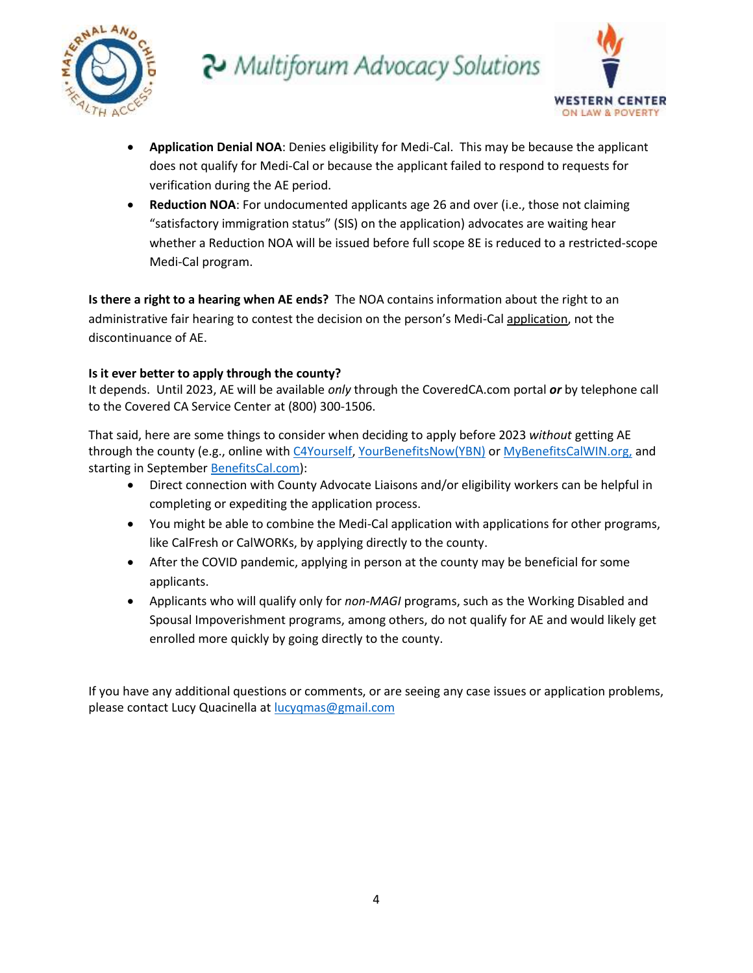



- **Application Denial NOA**: Denies eligibility for Medi-Cal. This may be because the applicant does not qualify for Medi-Cal or because the applicant failed to respond to requests for verification during the AE period.
- **Reduction NOA**: For undocumented applicants age 26 and over (i.e., those not claiming "satisfactory immigration status" (SIS) on the application) advocates are waiting hear whether a Reduction NOA will be issued before full scope 8E is reduced to a restricted-scope Medi-Cal program.

**Is there a right to a hearing when AE ends?** The NOA contains information about the right to an administrative fair hearing to contest the decision on the person's Medi-Cal application, not the discontinuance of AE.

# **Is it ever better to apply through the county?**

It depends. Until 2023, AE will be available *only* through the CoveredCA.com portal *or* by telephone call to the Covered CA Service Center at (800) 300-1506.

That said, here are some things to consider when deciding to apply before 2023 *without* getting AE through the county (e.g., online wit[h C4Yourself,](https://www.c4yourself.com/c4yourself/index.jsp) [YourBenefitsNow\(](https://yourbenefits.laclrs.org/ybn/Index.html)YBN) o[r MyBenefitsCalWIN.org,](https://www.mybenefitscalwin.org/) and starting in September [BenefitsCal.com\)](https://www.benefitscal.com/):

- Direct connection with County Advocate Liaisons and/or eligibility workers can be helpful in completing or expediting the application process.
- You might be able to combine the Medi-Cal application with applications for other programs, like CalFresh or CalWORKs, by applying directly to the county.
- After the COVID pandemic, applying in person at the county may be beneficial for some applicants.
- Applicants who will qualify only for *non-MAGI* programs, such as the Working Disabled and Spousal Impoverishment programs, among others, do not qualify for AE and would likely get enrolled more quickly by going directly to the county.

If you have any additional questions or comments, or are seeing any case issues or application problems, please contact Lucy Quacinella at [lucyqmas@gmail.com](mailto:lucyqmas@gmail.com)